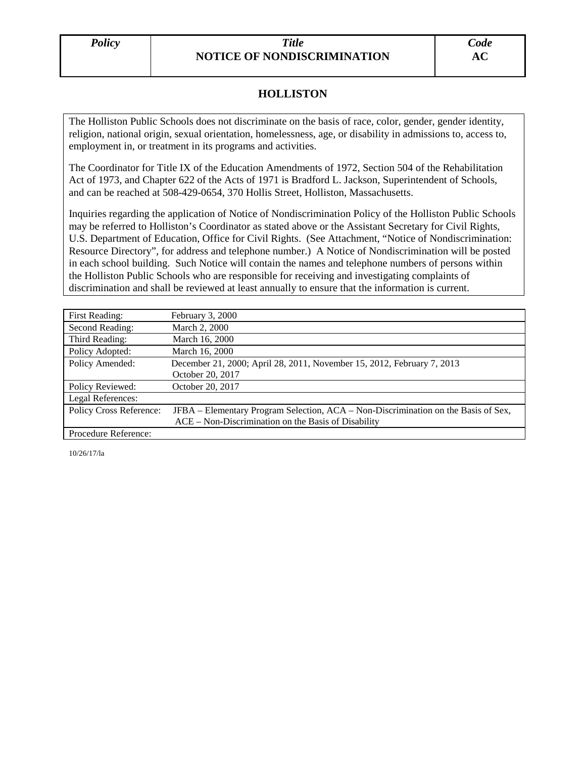## *Policy Title* **NOTICE OF NONDISCRIMINATION**

## **HOLLISTON**

The Holliston Public Schools does not discriminate on the basis of race, color, gender, gender identity, religion, national origin, sexual orientation, homelessness, age, or disability in admissions to, access to, employment in, or treatment in its programs and activities.

The Coordinator for Title IX of the Education Amendments of 1972, Section 504 of the Rehabilitation Act of 1973, and Chapter 622 of the Acts of 1971 is Bradford L. Jackson, Superintendent of Schools, and can be reached at 508-429-0654, 370 Hollis Street, Holliston, Massachusetts.

Inquiries regarding the application of Notice of Nondiscrimination Policy of the Holliston Public Schools may be referred to Holliston's Coordinator as stated above or the Assistant Secretary for Civil Rights, U.S. Department of Education, Office for Civil Rights. (See Attachment, "Notice of Nondiscrimination: Resource Directory", for address and telephone number.) A Notice of Nondiscrimination will be posted in each school building. Such Notice will contain the names and telephone numbers of persons within the Holliston Public Schools who are responsible for receiving and investigating complaints of discrimination and shall be reviewed at least annually to ensure that the information is current.

| <b>First Reading:</b>   | February 3, 2000                                                                   |
|-------------------------|------------------------------------------------------------------------------------|
| Second Reading:         | March 2, 2000                                                                      |
| Third Reading:          | March 16, 2000                                                                     |
| Policy Adopted:         | March 16, 2000                                                                     |
| Policy Amended:         | December 21, 2000; April 28, 2011, November 15, 2012, February 7, 2013             |
|                         | October 20, 2017                                                                   |
| Policy Reviewed:        | October 20, 2017                                                                   |
| Legal References:       |                                                                                    |
| Policy Cross Reference: | JFBA – Elementary Program Selection, ACA – Non-Discrimination on the Basis of Sex, |
|                         | ACE – Non-Discrimination on the Basis of Disability                                |
| Procedure Reference:    |                                                                                    |

10/26/17/la